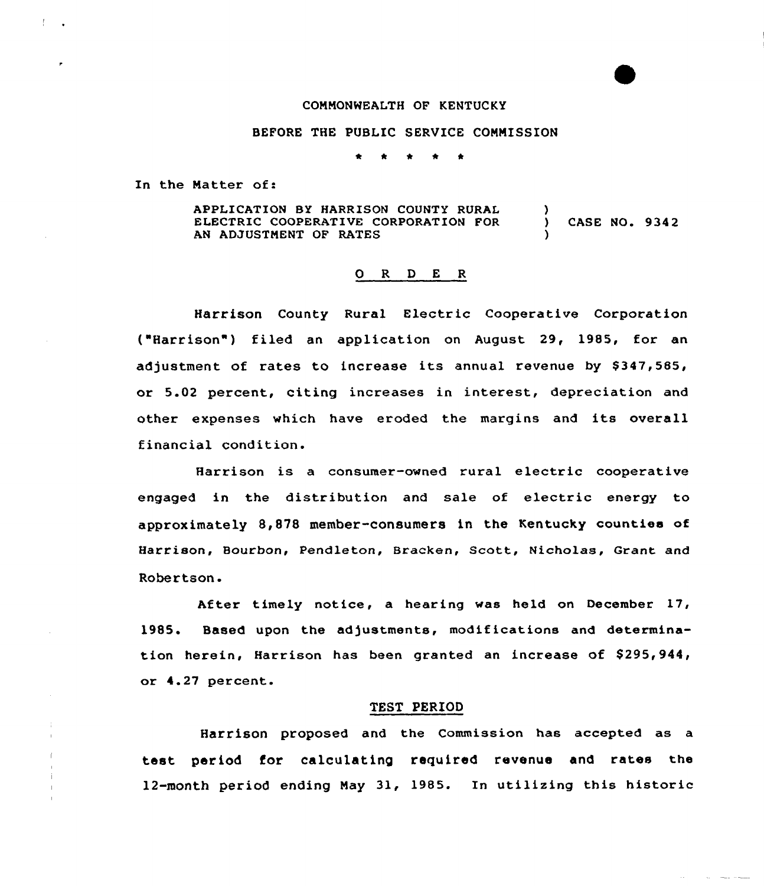# CONNONWEALTH OF KENTUCKY

## BEFORE THE PUBLIC SERVICE CONNISSION

\* \* \* \* \*

In the Natter of:

APPLICATION BY HARRISON COUNTY RURAL ELECTRIC COOPERATIVE CORPORATION FOR AN ADJUSTNENT OF RATES ) ) CASE NO. 934 2 )

## 0 R <sup>D</sup> E <sup>R</sup>

Harrison County Rural Electric Cooperative Corporation ("Harrison") filed an application on August 29, 1985, for an adjustment of rates to increase its annual revenue by \$347,585, or 5.02 percent, citing increases in interest, depreciation and othex expenses which have eroded the margins and its overall financial condition.

Harrison is a consumer-owned rural electric cooperative engaged in the distxibution and sale of electric energy to approximately 8,878 member-consumers in the Kentucky counties of Harrison, Bourbon, Pendleton, Bracken, Scott, Nicholas, Grant and Robertson.

After timely notice, a hearing was held on December 17, 1985. Based upon the adjustments, modifications and determination herein, Harrison has been granted an increase of \$295,944, or 4.27 percent.

#### TEST PERIOD

Harrison proposed and the Commission has accepted as a test period for calculating required revenue and rates the 12-month period ending Nay 31, 1985. In utilizing this historic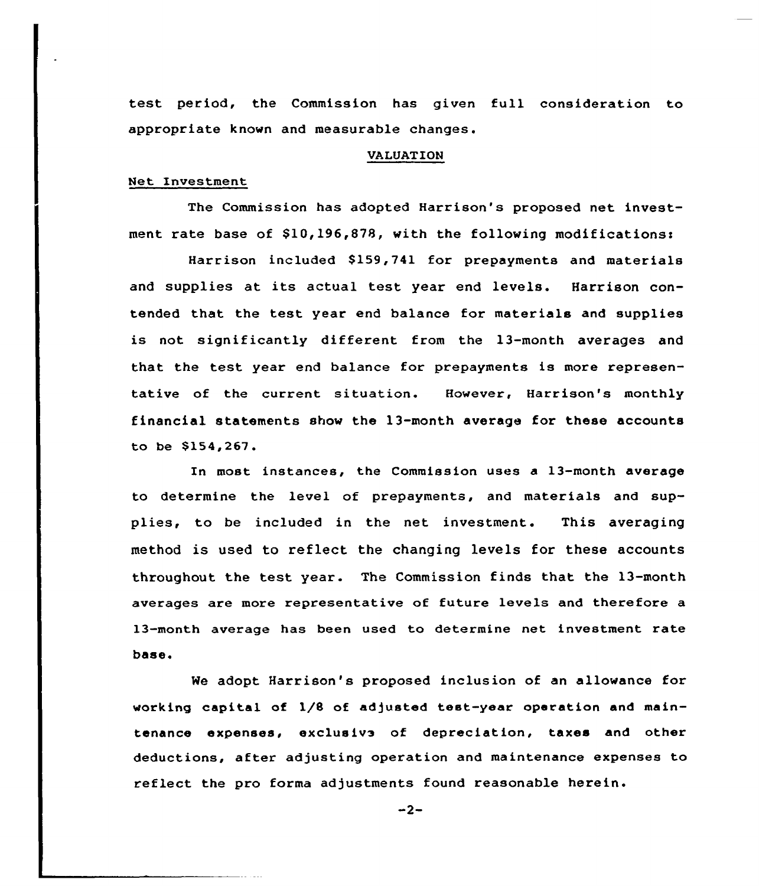test period, the Commission has given full consideration to appropriate known and measurable changes.

## VALUATION

## Net Investment

The Commission has adopted Harrison's proposed net investment rate base of \$10,196,878, with the following modificationss

Harrison included \$159,741 for prepayments and materials and supplies at its actual test year end levels. Harrison contended that the test year end balance for materials and supplies is not significantly different from the 13-month averages and that the test year end balance for prepayments is more representative of the current situation. However, Harrison's monthly financial statements show the 13-month average for these accounts to be \$154,267.

In most instances, the Commission uses a 13-month average to determine the level of prepayments, and materials and supplies, to be included in the net investment. This averaging method is used to reflect the changing levels for these accounts throughout the test year. The Commission finds that the 13-month averages are more representative of future levels and therefore a 13-month average has been used to determine net investment rate base.

We adopt Harrison's proposed inclusion of an allowance for working capital of 1/8 of adjusted test-year operation and maintenance expenses, exclusive of depreciation, taxes and other deductions, after adjusting operation and maintenance expenses to reflect the pro forma adjustments found reasonable herein.

 $-2-$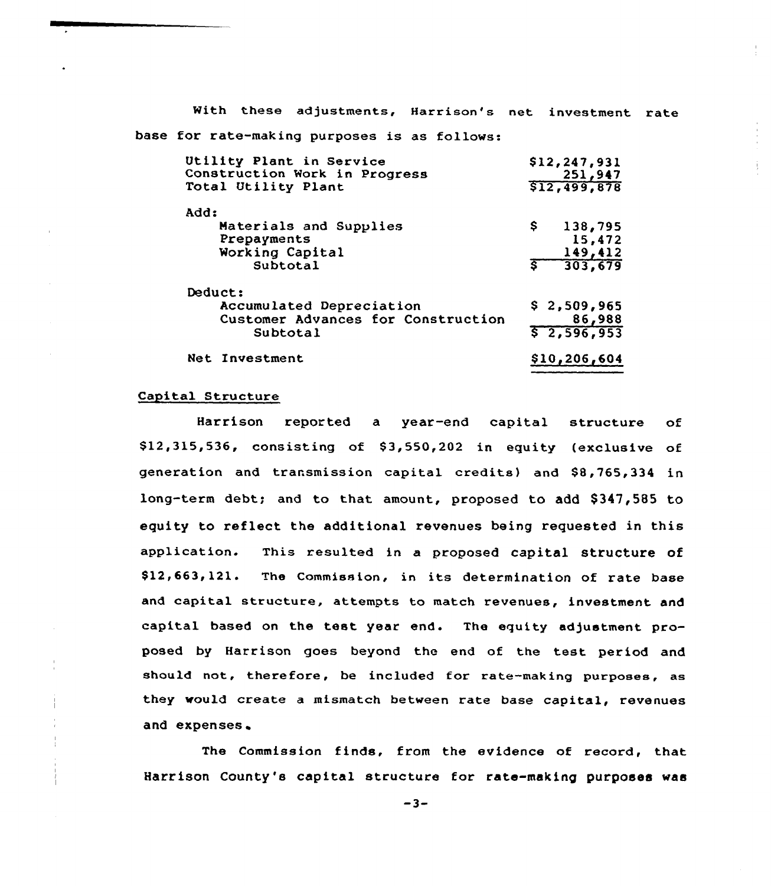With these adjustments, Harrison's net investment rate base for rate-making purposes is as follows: Utility Plant in Service **A 1,2 i 247 · 931 · 931 · 932 · 932 · 947 · 947 · 947 · 947 · 947 · 947 · 947 · 947 · 947 · 947 · 947 · 947 · 947 · 947 · 947 · 947 · 947 · 947 · 947 · 947 · 947 · 947 · 947 · 947 · 947 · 947 · 947 · 947 · 947 · 947 · 947** 

| OLIIILV FIANL IN SULVICE                                                              | 916,641,931                         |  |
|---------------------------------------------------------------------------------------|-------------------------------------|--|
| Construction Work in Progress                                                         | 251,947                             |  |
| Total Utility Plant                                                                   | \$12,499,878                        |  |
| Add:                                                                                  | Ş.                                  |  |
| Materials and Supplies                                                                | 138,795                             |  |
| Prepayments                                                                           | 15,472                              |  |
| Working Capital                                                                       | 149,412                             |  |
| Subtotal                                                                              | 303,679                             |  |
| Deduct:<br>Accumulated Depreciation<br>Customer Advances for Construction<br>Subtotal | \$2,509,965<br>86,988<br>52,596,953 |  |
| Net Investment                                                                        | \$10,206,604                        |  |

## Capital Structure

Harrison reported a year-end capital structure of \$12,315,536, consisting of \$3,550,202 in equity (exclusive of generation and transmission capital credits) and \$8,765,334 in long-term debt; and to that amount, proposed to add \$347,585 to equity to reflect the additional revenues being requested in this application. This resulted in a proposed capital structure of \$12,663,121. The Commission, in its determination of rate base and capital structure, attempts to match revenues, investment and capital based on the test year end. The equity adjustment proposed by Harrison goes beyond the end of the test period and should not, therefore, be included for rate-making purposes, as they would create a mismatch between rate base capital, revenues and expenses

The Commission finds, from the evidence of record, that Harrison County's capital structure for rate-making purposes was

 $-3-$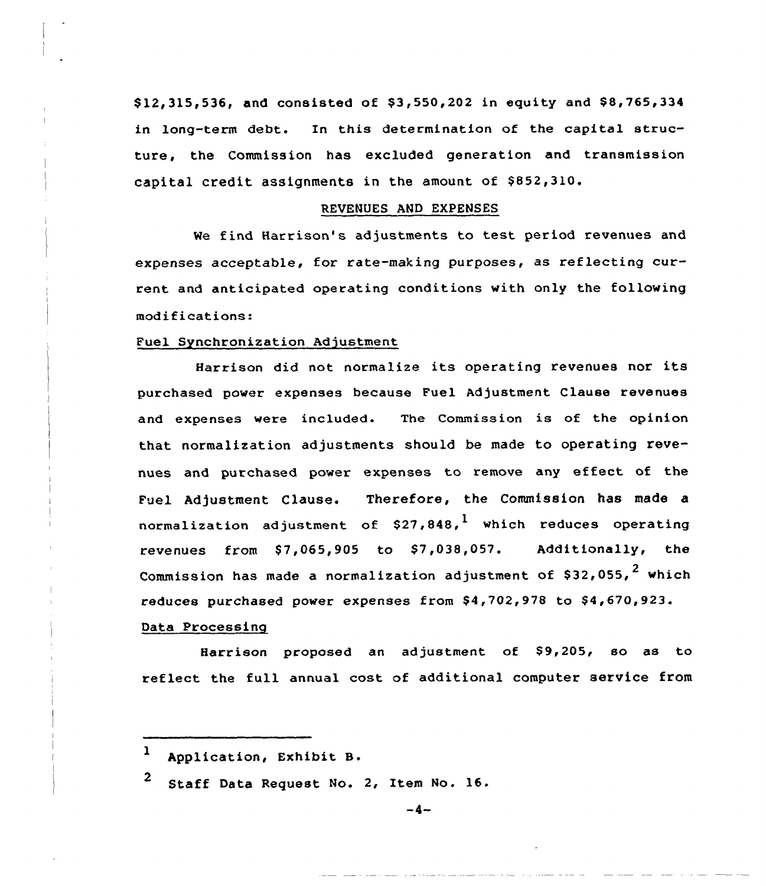\$12,315,536, and consisted of \$3,550,202 in equity and \$8,765,334 in long-term debt. In this determination of the capital structure, the Commission has excluded generation and transmission capital credit assignments in the amount of \$852,310.

## REVENUES AND EXPENSES

We find Harrison's adjustments to test period revenues and expenses acceptable, for rate-making purposes, as reflecting current and anticipated operating conditions with only the following modifications:

## Fuel Synchronization Adjustment

Harrison did not normalize its operating revenues nor its purchased power expenses because Fuel Adjustment Clause revenues and expenses were included. The Commission is of the opinion that normalization adjustments should be made to operating revenues and purchased power expenses to remove any effect of the Fuel Adjustment Clause. Therefore, the Commission has made a normalization adjustment of  $$27,848$ , which reduces operating revenues from  $$7,065,905$  to  $$7,038,057$ . Additionally, the Commission has made a normalization adjustment of  $$32,055$ ,  $^2$  which reduces purchased power expenses from \$4,702,978 to \$4,670,923.

# Data Processing

Harrison proposed an adjustment of \$9,205, so as to reflect the full annual cost of additional computer service from

<sup>2</sup> Staff Data Request No. 2, Item No. 16.

l Application, Exhibit B.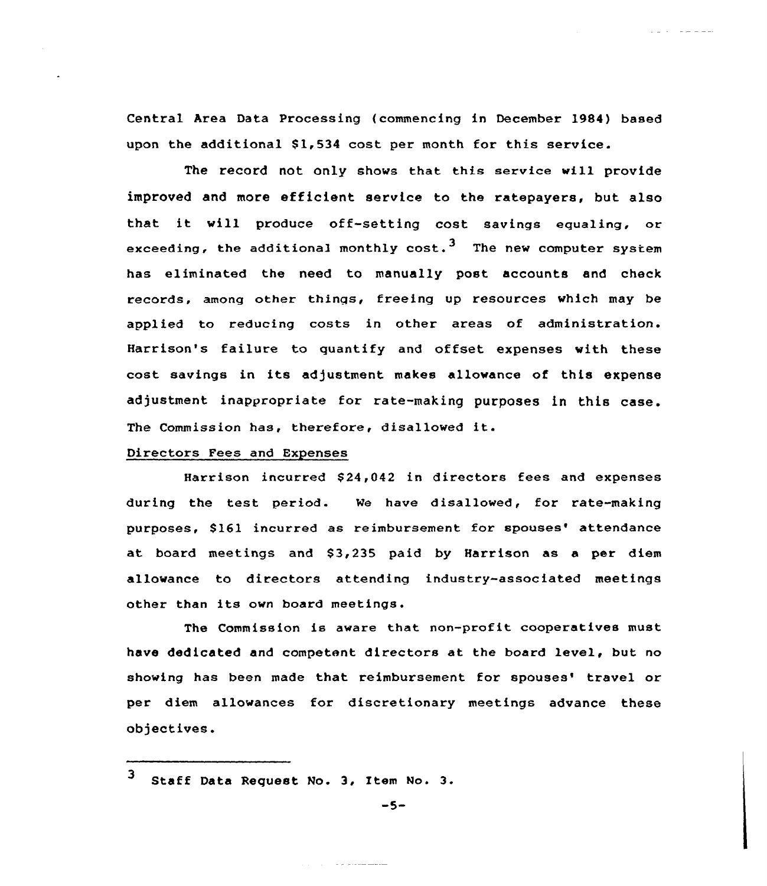Central Area Data Processing (commencing in December 1984) based upon the additional \$1,534 cost per month for this service.

بدعاء عرعان المالي

The record not only shows that this service will provide improved and more efficient service to the ratepayers, but also that it will produce off-setting cost savings equaling, or exceeding, the additional monthly  $cost.^3$  The new computer system has eliminated the need to manually post accounts and check records, among other things, freeing up resources which may be applied to reducing costs in other areas of administration. Harrison's failure to quantify and offset expenses with these cost savings in its adjustment makes allowance of this expense adjustment inappropriate for rate-making purposes in this case. The Commission has, therefore, disallowed it.

# Directors Fees and Expenses

Harrison incurred \$24,042 in directors fees and expenses during the test period. Me have disalloved, for rate-making purposes, \$161 incurred as reimbursement for spouses' attendance at board meetings and \$3,235 paid by Harrison as a per diem allowance to directors attending industry-associated meetings other than its own board meetings.

The Commission is aware that non-profit cooperatives must have dedicated and competent directors at the board level, but no showing has been made that reimbursement for spouses' travel or per diem allowances for discretionary meetings advance these objectives.

المستشفية والمرابين

<sup>3</sup> Staff Data Request No. 3, Item No. 3.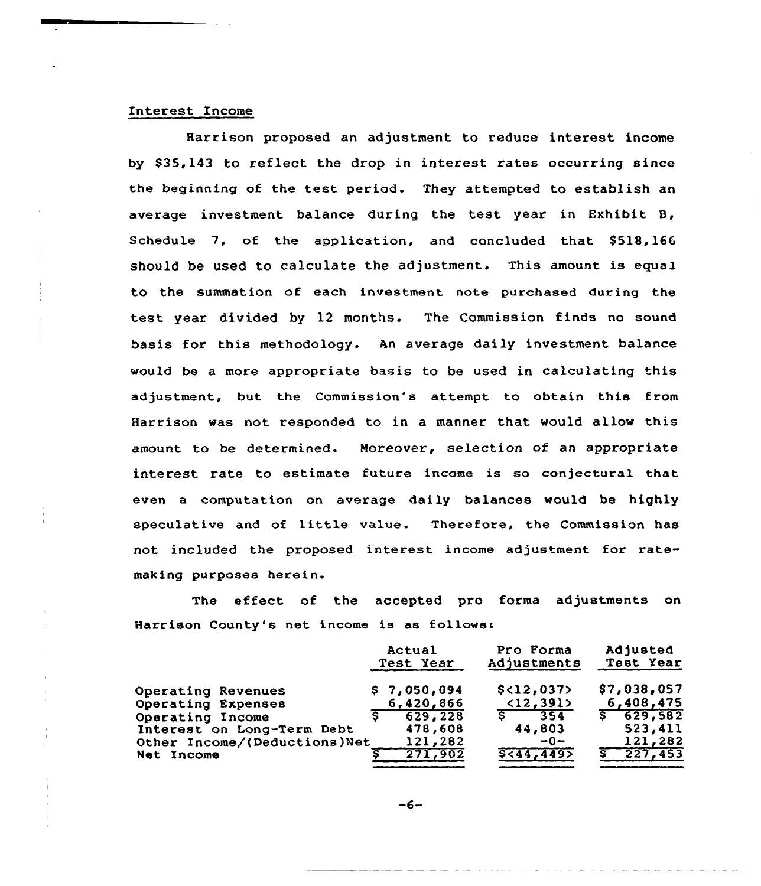# Interest Income

Harrison proposed an adjustment to reduce interest income by \$35,143 to reflect the drop in interest rates occurring since the beginning of the test period. They attempted to establish an average investment balance during the test year in Exhibit B, Schedule  $7$ , of the application, and concluded that  $$518,166$ should be used to calculate the adjustment. This amount is equal to the summation of each investment note purchased during the test year divided by 12 months. The Commission finds no sound basis for this methodology. An average daily investment balance would be a more appropriate basis to be used in calculating this adjustment, but the Commission's attempt to obtain this from Harrison was not responded to in a manner that would allow this amount to be determined. Moreover, selection of an appropriate interest rate to estimate future income is so conjectural that even a computation on average daily balances would be highly speculative and of little value. Therefore, the Commission has not included the proposed interest income adjustment for ratemaking purposes herein.

The effect of the accepted pro forma adjustments on Harrison County's net income is as follows:

| Adjusted<br>Pro Forma<br>Actual<br>Adjustments<br>Test Year  | Test Year   |
|--------------------------------------------------------------|-------------|
| \$<12,037<br>\$7,050,094<br>Operating Revenues               | \$7,038,057 |
| $\langle 12, 391 \rangle$<br>6,420,866<br>Operating Expenses | 6,408,475   |
| 354<br>629, 228<br>Operating Income                          | 5, 629, 582 |
| 44,803<br>478,608<br>Interest on Long-Term Debt              | 523,411     |
| 121,282<br>$-0-$<br>Other Income/(Deductions)Net             | 121,282     |
| 5<44,449<br>271,902<br>Net Income                            | 227,453     |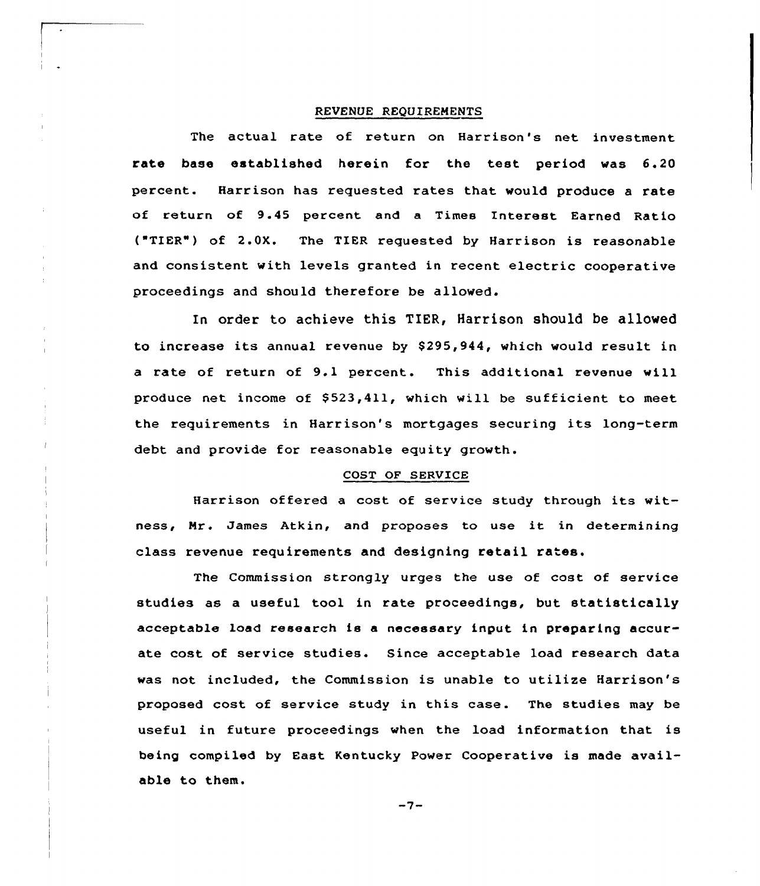### REVENUE REQUIREMENTS

The actual rate of return on Harrison's net investment rate base established herein for the test period was 6.20 percent. Harrison has requested rates that would produce a rate of return of 9.45 percent and a Times Interest Earned Ratio ("TIER") of 2.0X. The TIER requested by Harrison is reasonable and consistent with levels granted in recent electric cooperative proceedings and should therefore be allowed.

In order to achieve this TIER, Harrison should be allowed to increase its annual revenue by \$295,944, which would result in <sup>a</sup> rate of return of 9.1 percent. This additional revenue will produce net income of \$523,411, which will be sufficient to meet the requirements in Harrison's mortgages securing its long-term debt and provide for reasonable equity growth.

## COST OF SERVICE

Harrison offered <sup>a</sup> cost of service study through its witness, Nr. James Atkin, and proposes to use it in determining class revenue requirements and designing retail rates.

The Commission strongly urges the use of cost of service studies as a useful tool in rate proceedings, but statistically acceptable load research is a necessary input in preparing accurate cost of service studies. Since acceptable load research data was not included, the Commission is unable to utilize Harrison's proposed cost of service study in this case. The studies may be useful in future proceedings when the load information that is being compiled by East Kentucky Power Cooperative is made available to them.

 $-7-$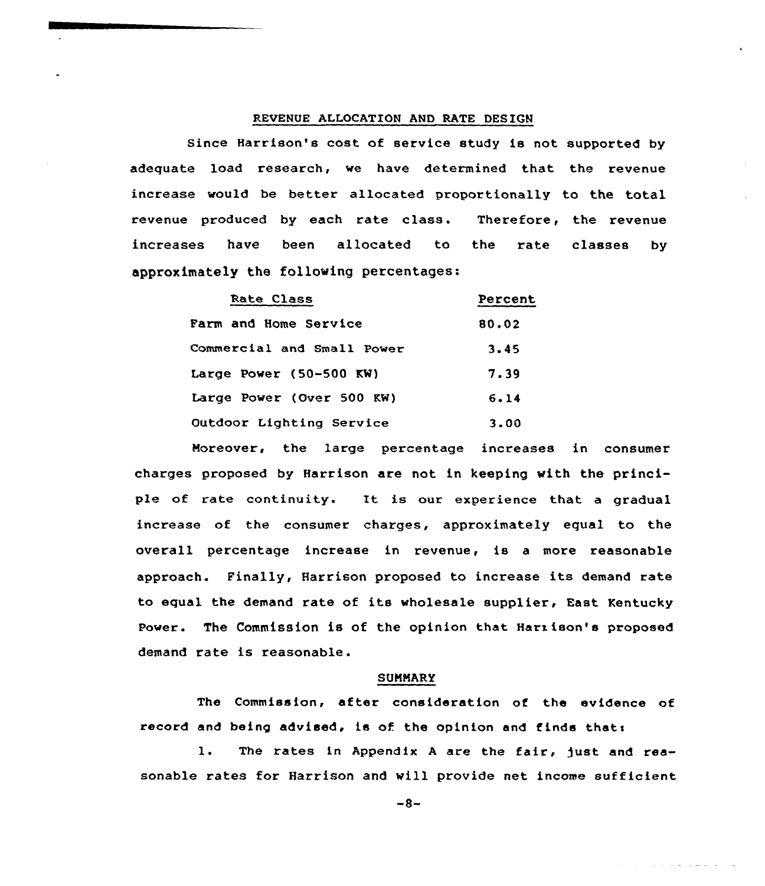## REUENUE ALLOCATION AND RATE DESIGN

Since Harrison's cost of service study is not supported by adequate load research, we have determined that the revenue increase would be better allocated proportionally to the total revenue produced by each rate class. Therefore, the revenue increases have been allocated to the rate classes by approximately the following percentages:

| Rate Class                   | Percent |
|------------------------------|---------|
| <b>Farm and Home Service</b> | 80.02   |
| Commercial and Small Power   | 3.45    |
| Large Power (50-500 $KW$ )   | 7.39    |
| Large Power (Over 500 KW)    | 6.14    |
| Outdoor Lighting Service     | 3.00    |

Moreover, the large percentage increases in consumer charges proposed by Harrison are not in keeping with the principle of rate continuity. It is our experience that <sup>a</sup> gradual increase of the consumer charges, approximately equal to the overall percentage increase in revenue, is <sup>a</sup> more reasonable approach. Finally, Harrison proposed to increase its demand rate to equal the demand rate of its wholesale supplier, East Kentucky Power. The Commission is of the opinion that Harison's proposed demand rate is reasonable.

## **SUMMARY**

The Commission, after consideration of the evidence of record and being advised, is of the opinion and finds thats

1. The rates in Appendix A are the fair, just and reasonable rates for Harrison and will provide net income sufficient

 $-8-$ 

And the contract of the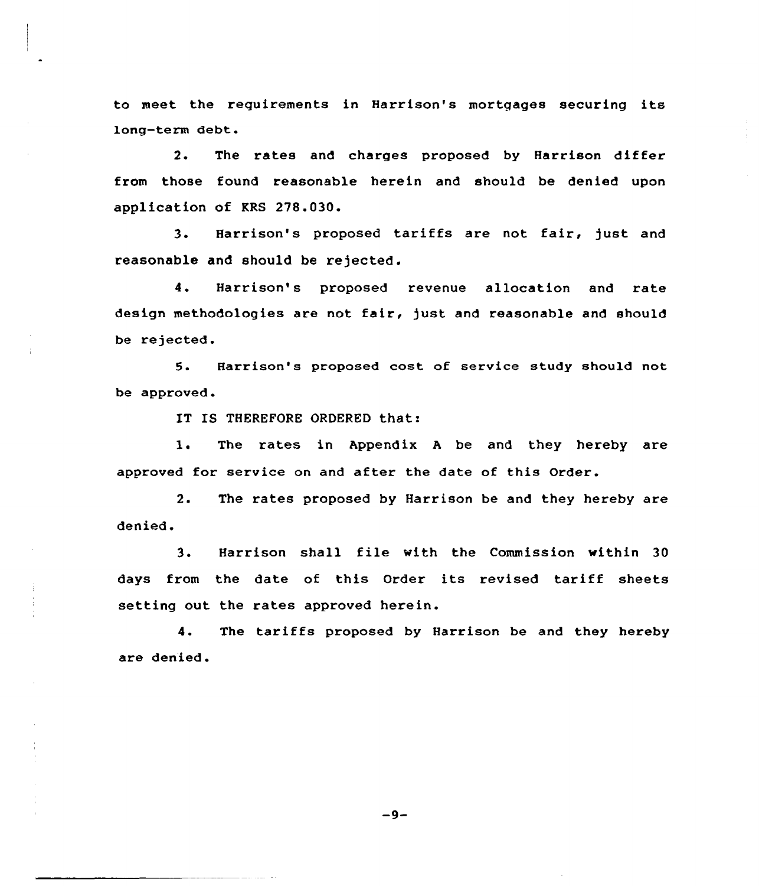to meet the requirements in Harrison's mortgages securing its long-term debt.

2. The rates and charges proposed by Harrison differ from those found reasonable herein and should be denied upon application of KRS 278.030.

3. Harrison's proposed tariffs are not fair, just and reasonable and should be rejected.

4. Harrison's proposed revenue allocation and rate design methodologies are not fair, just and reasonable and should be rejected.

5. Harrison's proposed cost of service study should not be approved.

IT IS THEREFORE ORDERED that:

1. The rates in Appendix <sup>A</sup> be and they hereby are approved for service on and after the date of this Order.

2. The rates proposed by Harrison be and they hereby are denied.

3. Harrison shall file with the Commission within <sup>30</sup> days from the date of this Order its revised tariff sheets setting out the rates approved herein.

4. The tariffs proposed by Harrison be and they hereby are denied.

 $-9-$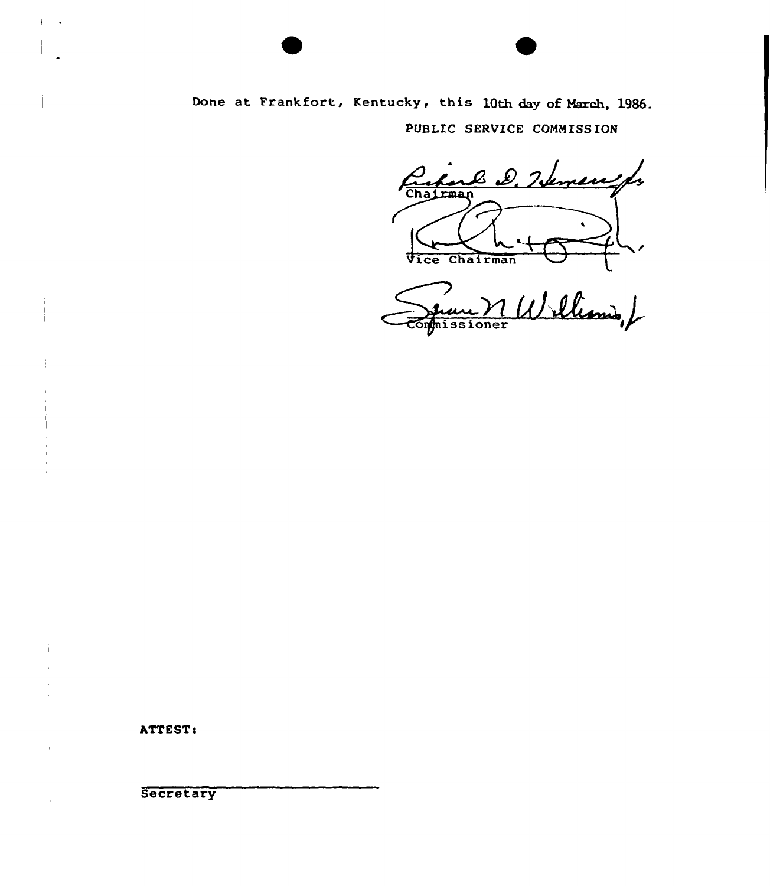# Done at Frankfort, Kentucky, this 10th day of March, 1986. PUBLIC SERVICE COMMISSION

Créme D. Nemere fr

Vice Chairman VIII

ATTEST:

 $\cdot$ 

**Secretary**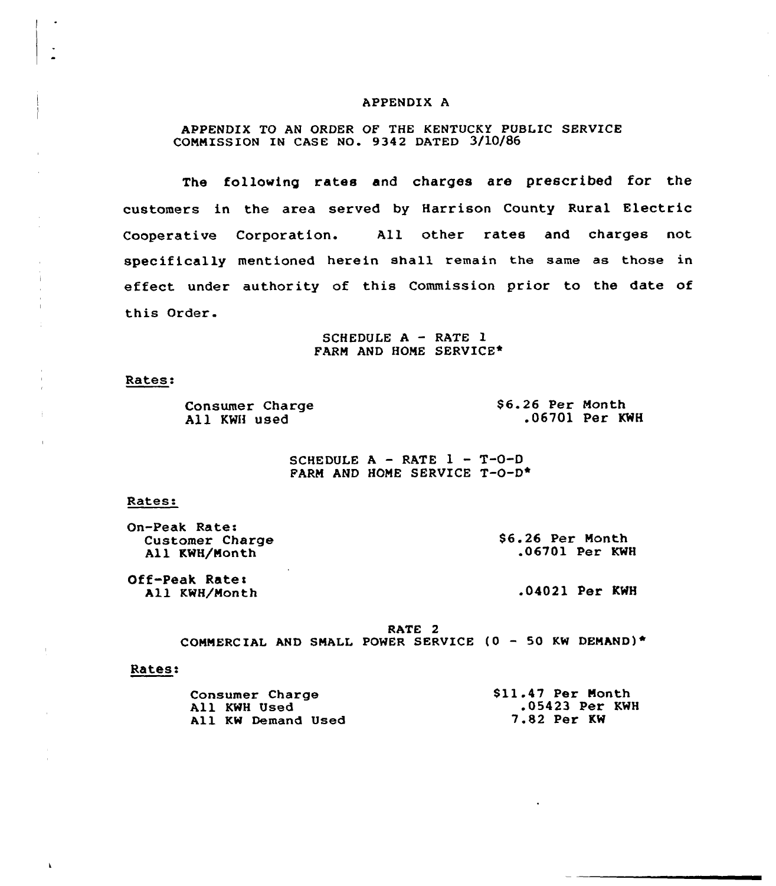### APPENDIX A

# APPENDIX TO AN ORDER OF THE KENTUCKY PUBLIC SERVICE COMMISSION IN CASE NO. 9342 DATED 3/10/86

The following rates and charges are prescribed for the customers in the area served by Harrison County Rural Electric Cooperative Corporation. All other rates and charges not specifically mentioned herein shall remain the same as those in effect under authority of this Commission prior to the date of this Order.

> SCHEDULE  $A - RATE$  1 FARM AND HOME SERVICE\*

#### Rates:

Consumer Charge All KWH used

\$6.26 Per Month .06701 Per KWH

SCHEDULE  $A - RATE$   $1 - T - 0 - D$ FARM AND HONE SERVICE T-O-D\*

#### Rates:

On-Peak Rate: Customer Charge All KWH/Month

S6.26 Per Nonth .06701 Per KWH

Off-Peak Rates All KWH/Month

.04021 Per KWH

RATE 2 COMMERCIAL AND SMALL POWER SERVICE  $(0 - 50$  KW DEMAND)\*

#### Rates:

| Consumer Charge    | \$11.47 Per Month  |
|--------------------|--------------------|
| All KWH Used       | .05423 Per KWH     |
| All KW Demand Used | <b>7.82 Per KW</b> |